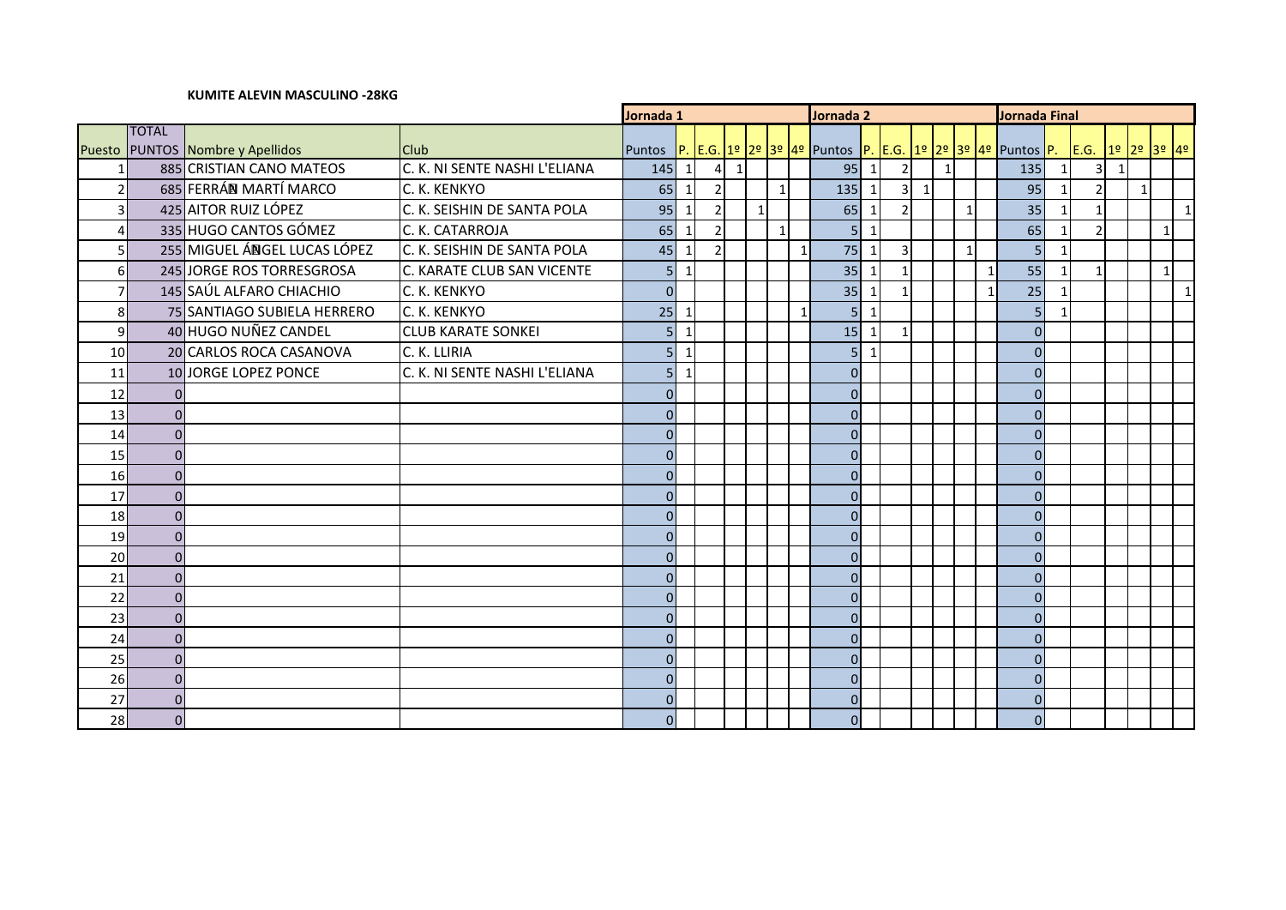## **KUMITE ALEVIN MASCULINO -28KG**

|                |                |                              |                               | Jornada 1      |                          |  |             |              |              | Jornada 2    |                                                                                                                         |              |                |              |          |              | Jornada Final  |                 |                |   |              |       |   |
|----------------|----------------|------------------------------|-------------------------------|----------------|--------------------------|--|-------------|--------------|--------------|--------------|-------------------------------------------------------------------------------------------------------------------------|--------------|----------------|--------------|----------|--------------|----------------|-----------------|----------------|---|--------------|-------|---|
|                | <b>TOTAL</b>   |                              |                               |                |                          |  |             |              |              |              |                                                                                                                         |              |                |              |          |              |                |                 |                |   |              |       |   |
| Puesto         |                | PUNTOS Nombre y Apellidos    | <b>Club</b>                   |                |                          |  |             |              |              |              | Puntos   <mark>P.  E.G. 1º  2º  3º  4º  </mark> Puntos  P. <mark> E.G.  1º  2º  3º  4º  </mark> Puntos <mark> P.</mark> |              |                |              |          |              |                |                 | E.G. 19 29     |   |              | 3º 4º |   |
|                |                | 885 CRISTIAN CANO MATEOS     | C. K. NI SENTE NASHI L'ELIANA | 145            | $\vert$ 1                |  | $4 \quad 1$ |              |              |              | 95                                                                                                                      | $\vert$ 1    | $\overline{2}$ |              | $1\vert$ |              |                | 135             |                | 3 |              |       |   |
|                |                | 685 FERRÁN MARTÍ MARCO       | C. K. KENKYO                  | 65             | $\mathbf{1}$             |  |             |              | $\mathbf{1}$ |              | 135                                                                                                                     | $\mathbf{1}$ | 3 <sup>1</sup> | $\mathbf{1}$ |          |              |                | 95              | $\overline{2}$ |   | $\mathbf{1}$ |       |   |
| $\overline{3}$ |                | 425 AITOR RUIZ LÓPEZ         | C. K. SEISHIN DE SANTA POLA   | 95             | 1                        |  |             | $\mathbf{1}$ |              |              | 65                                                                                                                      | $\mathbf{1}$ | $\mathcal{P}$  |              |          | $\mathbf{1}$ |                | 35              | $\mathbf{1}$   |   |              |       | 1 |
| $\Delta$       |                | 335 HUGO CANTOS GÓMEZ        | C. K. CATARROJA               | 65             | $\overline{\phantom{a}}$ |  |             |              | $\mathbf{1}$ |              | 5 <sup>1</sup>                                                                                                          | $\mathbf{1}$ |                |              |          |              |                | 65              | $\mathcal{I}$  |   |              |       |   |
|                |                | 255 MIGUEL ÁNGEL LUCAS LÓPEZ | C. K. SEISHIN DE SANTA POLA   | 45             | $\overline{\phantom{a}}$ |  |             |              |              | $\mathbf{1}$ | 75                                                                                                                      | $\mathbf{1}$ | $\overline{3}$ |              |          | $\mathbf{1}$ |                | $5\overline{)}$ |                |   |              |       |   |
| 6              |                | 245 JORGE ROS TORRESGROSA    | C. KARATE CLUB SAN VICENTE    | 5              | $\mathbf{1}$             |  |             |              |              |              | 35                                                                                                                      | $\mathbf{1}$ |                |              |          |              | 1              | 55              |                |   |              |       |   |
|                |                | 145 SAÚL ALFARO CHIACHIO     | C. K. KENKYO                  | $\overline{0}$ |                          |  |             |              |              |              | 35                                                                                                                      | $\mathbf{1}$ |                |              |          |              | $\overline{1}$ | 25              |                |   |              |       | 1 |
| 8              |                | 75 SANTIAGO SUBIELA HERRERO  | C. K. KENKYO                  | 25             | -1                       |  |             |              |              | $\mathbf{1}$ | 5 <sup>1</sup>                                                                                                          | $\mathbf{1}$ |                |              |          |              |                | $\overline{5}$  |                |   |              |       |   |
| 9              |                | 40 HUGO NUÑEZ CANDEL         | <b>CLUB KARATE SONKEI</b>     | 5              | $\mathbf{1}$             |  |             |              |              |              | 15                                                                                                                      | $\mathbf{1}$ |                |              |          |              |                | $\mathbf 0$     |                |   |              |       |   |
| 10             |                | 20 CARLOS ROCA CASANOVA      | C. K. LLIRIA                  | $\overline{5}$ | $\mathbf{1}$             |  |             |              |              |              | 5 <sup>1</sup>                                                                                                          | $\mathbf{1}$ |                |              |          |              |                | $\mathbf 0$     |                |   |              |       |   |
| 11             |                | 10JORGE LOPEZ PONCE          | C. K. NI SENTE NASHI L'ELIANA | 5              | $\mathbf{1}$             |  |             |              |              |              | $\overline{0}$                                                                                                          |              |                |              |          |              |                | $\mathbf 0$     |                |   |              |       |   |
| 12             |                |                              |                               | $\overline{0}$ |                          |  |             |              |              |              | $\Omega$                                                                                                                |              |                |              |          |              |                | $\overline{0}$  |                |   |              |       |   |
| 13             | $\Omega$       |                              |                               | $\overline{0}$ |                          |  |             |              |              |              | $\overline{0}$                                                                                                          |              |                |              |          |              |                | $\Omega$        |                |   |              |       |   |
| 14             | $\Omega$       |                              |                               | $\overline{0}$ |                          |  |             |              |              |              | $\Omega$                                                                                                                |              |                |              |          |              |                | $\overline{0}$  |                |   |              |       |   |
| 15             | $\Omega$       |                              |                               | $\mathbf 0$    |                          |  |             |              |              |              | $\overline{0}$                                                                                                          |              |                |              |          |              |                | $\overline{0}$  |                |   |              |       |   |
| 16             | $\Omega$       |                              |                               | $\overline{0}$ |                          |  |             |              |              |              | $\overline{0}$                                                                                                          |              |                |              |          |              |                | $\overline{0}$  |                |   |              |       |   |
| 17             | $\Omega$       |                              |                               | $\overline{0}$ |                          |  |             |              |              |              | $\overline{O}$                                                                                                          |              |                |              |          |              |                | $\overline{0}$  |                |   |              |       |   |
| 18             | $\Omega$       |                              |                               | $\overline{0}$ |                          |  |             |              |              |              | $\Omega$                                                                                                                |              |                |              |          |              |                | $\overline{0}$  |                |   |              |       |   |
| 19             |                |                              |                               | $\Omega$       |                          |  |             |              |              |              | $\overline{0}$                                                                                                          |              |                |              |          |              |                | $\Omega$        |                |   |              |       |   |
| 20             | $\Omega$       |                              |                               | $\mathbf 0$    |                          |  |             |              |              |              | $\overline{0}$                                                                                                          |              |                |              |          |              |                | $\overline{0}$  |                |   |              |       |   |
| 21             | $\Omega$       |                              |                               | $\overline{0}$ |                          |  |             |              |              |              | $\overline{0}$                                                                                                          |              |                |              |          |              |                | $\overline{0}$  |                |   |              |       |   |
| 22             | $\Omega$       |                              |                               | $\overline{0}$ |                          |  |             |              |              |              | $\overline{0}$                                                                                                          |              |                |              |          |              |                | $\overline{0}$  |                |   |              |       |   |
| 23             |                |                              |                               | $\overline{0}$ |                          |  |             |              |              |              | $\Omega$                                                                                                                |              |                |              |          |              |                | $\overline{0}$  |                |   |              |       |   |
| 24             | $\Omega$       |                              |                               | $\overline{0}$ |                          |  |             |              |              |              | $\overline{0}$                                                                                                          |              |                |              |          |              |                | $\overline{0}$  |                |   |              |       |   |
| 25             | O              |                              |                               | $\overline{0}$ |                          |  |             |              |              |              | $\Omega$                                                                                                                |              |                |              |          |              |                | $\overline{0}$  |                |   |              |       |   |
| 26             | $\Omega$       |                              |                               | $\overline{0}$ |                          |  |             |              |              |              | $\Omega$                                                                                                                |              |                |              |          |              |                | $\overline{0}$  |                |   |              |       |   |
| 27             | n              |                              |                               | $\overline{0}$ |                          |  |             |              |              |              | $\Omega$                                                                                                                |              |                |              |          |              |                | $\overline{0}$  |                |   |              |       |   |
| 28             | $\overline{0}$ |                              |                               | $\overline{0}$ |                          |  |             |              |              |              | 0                                                                                                                       |              |                |              |          |              |                | $\overline{0}$  |                |   |              |       |   |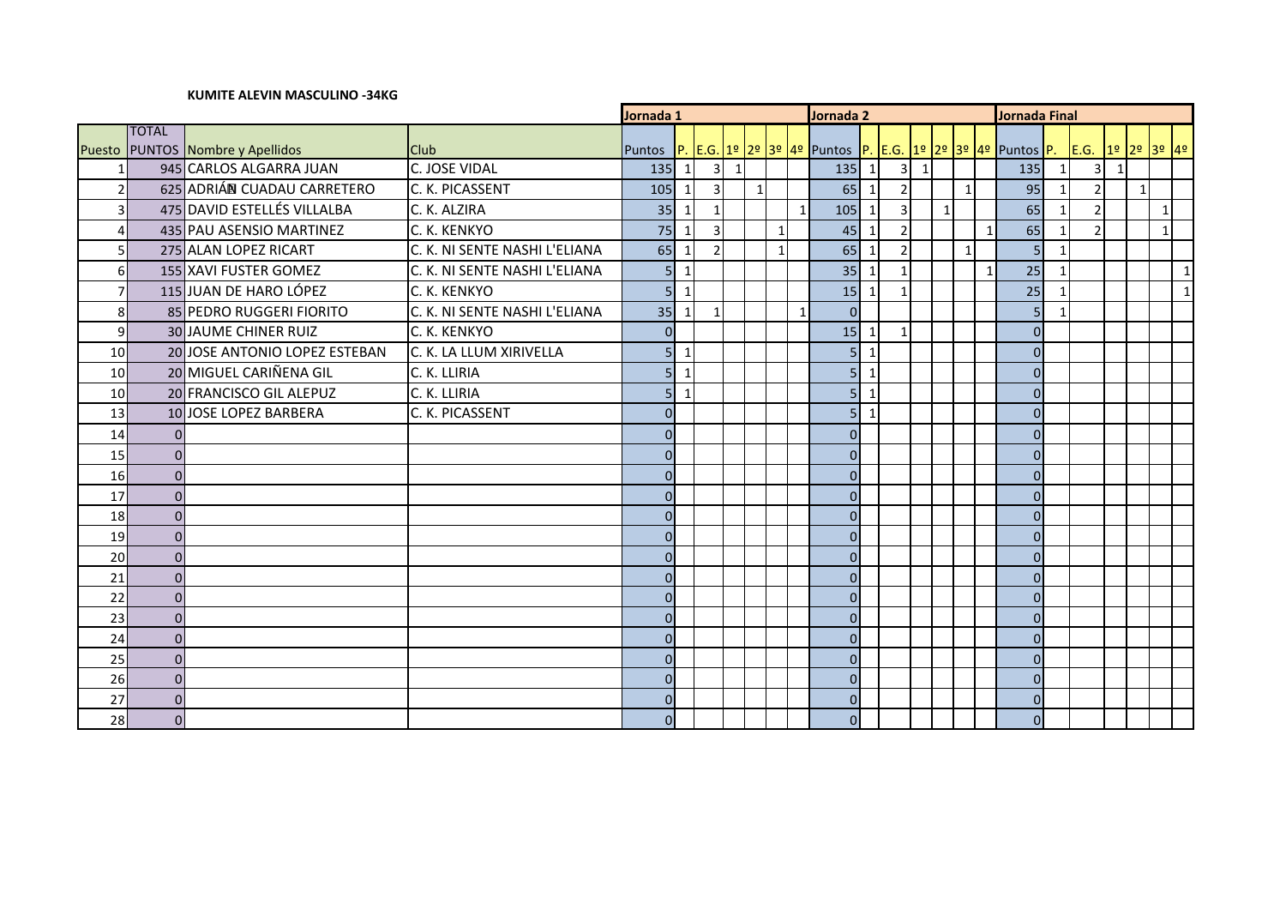# **Jornada 1 Jornada 2 Jornada Final** Puesto PUNTOS Nombre y Apellidos TOTAL PUNTOS Nombre y Apellidos Club Puntos P. E.G. 1º 2º 3º 4º Puntos P. E.G. 1º 2º 3º 4º Puntos P. E.G. 1º 2º 3º 4º 945 CARLOS ALGARRA JUAN C. JOSE VIDAL 135 1 3 1 135 1 3 1 135 1 3 1 2 625 ADRIÁN CUADAU CARRETERO (C. K. PICASSENT 105 | 105 | 1 | 3 | 1 | 1 | 65 | 1 | 2 | 1 | 95 | 1 | 2 | 1 475 DAVID ESTELLÉS VILLALBA C. K. ALZIRA 35 1 1 1 105 1 3 1 65 1 2 1 435 PAU ASENSIO MARTINEZ C. K. KENKYO 1975 1 45 1 3 1 45 1 2 1 1 45 1 2 1 1 65 1 2 1 1 275 ALAN LOPEZ RICART C. K. NI SENTE NASHI L'ELIANA 65 1 2 1 65 1 2 1 5 1 6 155 XAVI FUSTER GOMEZ C. K. NI SENTE NASHI L'ELIANA GILI SI 1 1 1 1 1 35 1 1 1 1 1 1 25 1 1 1 1 1 1 115 JUAN DE HARO LÓPEZ C. K. KENKYO 5 1 15 1 1 25 1 1 85 PEDRO RUGGERI FIORITO C. K. NI SENTE NASHI L'ELIANA 35 1 1 1 0 5 1 30 JAUME CHINER RUIZ C. K. KENKYO 0 15 1 1 0 20 JOSE ANTONIO LOPEZ ESTEBAN C. K. LA LLUM XIRIVELLA 5 1 5 1 0 10 20 MIGUEL CARIÑENA GIL C. K. LLIRIA COMENCERTED SANTIST LAND SANTIST LAND ON SANTIST LAND ON SANTIST LAND O 10 20 FRANCISCO GIL ALEPUZ C. K. LLIRIA | 5 1 | 5 1 | 5 1 | 5 | 1 | | | 0 13 10 JOSE LOPEZ BARBERA C. K. PICASSENT 0 0 1 1 1 5 1 1 1 0 0 0 0 0 0 0 0 0 0 0 0 0 0 0 0 0 0 0 0 0 0 0 0 0 0 0 0 0 0 0 0 0 0 0 0 0 0 0 0 0 0 0 0 0

 0 0 0 0 0 0 0 0 0 0 0 0 0 0 0 0

**KUMITE ALEVIN MASCULINO -34KG**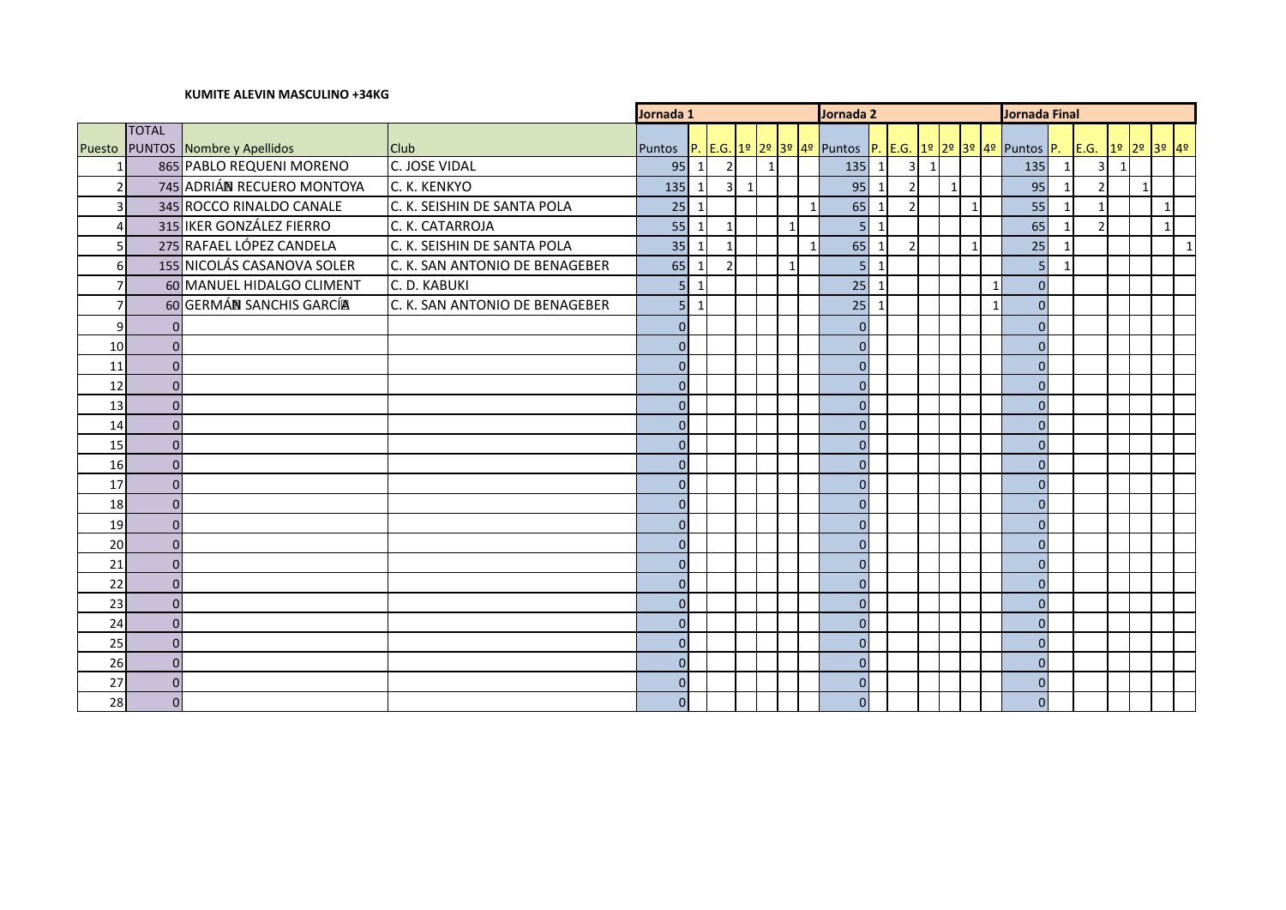### **KUMITE ALEVIN MASCULINO +34KG**

|                |                |                            |                                | Jornada 1      |                |                          |            |              | Jornada 2      |                |              |               |              | Jornada Final |                                                          |              |                          |              |                  |             |
|----------------|----------------|----------------------------|--------------------------------|----------------|----------------|--------------------------|------------|--------------|----------------|----------------|--------------|---------------|--------------|---------------|----------------------------------------------------------|--------------|--------------------------|--------------|------------------|-------------|
|                | <b>TOTAL</b>   |                            |                                |                |                |                          |            |              |                |                |              |               |              |               |                                                          |              |                          |              |                  |             |
| Puesto         |                | PUNTOS Nombre y Apellidos  | <b>Club</b>                    | Puntos         |                |                          |            |              |                |                |              |               |              |               | P. E.G. 1º 2º 3º 4º Puntos P. E.G. 1º 2º 3º 4º Puntos P. |              |                          |              | E.G. 1º 2º 3º 4º |             |
|                |                | 865 PABLO REQUENI MORENO   | C. JOSE VIDAL                  | 95             | $\overline{1}$ | $\overline{2}$           |            | $\mathbf{1}$ |                | 135            | 1            | $3 \mid 1$    |              |               | 135                                                      |              | 3 <sup>1</sup>           | $\mathbf{1}$ |                  |             |
|                |                | 745 ADRIÁN RECUERO MONTOYA | C. K. KENKYO                   | 135            | $\overline{1}$ |                          | $3 \mid 1$ |              |                | 95             | $\mathbf{1}$ |               | 1            |               | 95                                                       |              | $\overline{\mathcal{L}}$ |              | $\mathbf{1}$     |             |
| 3              |                | 345 ROCCO RINALDO CANALE   | C. K. SEISHIN DE SANTA POLA    | 25             | $\overline{1}$ |                          |            |              | $1\vert$       | 65             | $\mathbf{1}$ | $\mathcal{P}$ | $\mathbf{1}$ |               | 55                                                       |              | 1                        |              | $\mathbf{1}$     |             |
|                |                | 315 IKER GONZÁLEZ FIERRO   | C. K. CATARROJA                | 55             | $\mathbf{1}$   |                          |            |              | $\overline{1}$ | 5 <sub>l</sub> | $\mathbf{1}$ |               |              |               | 65                                                       |              |                          |              | $\overline{1}$   |             |
|                |                | 275 RAFAEL LÓPEZ CANDELA   | C. K. SEISHIN DE SANTA POLA    | 35             | $\overline{1}$ |                          |            |              | $\mathbf{1}$   | 65             | $\mathbf{1}$ | $\mathcal{I}$ | $\mathbf{1}$ |               | 25                                                       | $\mathbf{1}$ |                          |              |                  | $\mathbf 1$ |
| 6              |                | 155 NICOLÁS CASANOVA SOLER | C. K. SAN ANTONIO DE BENAGEBER | 65             | $\mathbf{1}$   | $\overline{\phantom{a}}$ |            |              | $\mathbf{1}$   | 5 <sup>1</sup> | $\mathbf{1}$ |               |              |               | 5                                                        | 1            |                          |              |                  |             |
|                |                | 60 MANUEL HIDALGO CLIMENT  | C. D. KABUKI                   | 5 <sub>l</sub> | $\mathbf{1}$   |                          |            |              |                | 25             | $\mathbf{1}$ |               |              | $\mathbf{1}$  | $\overline{0}$                                           |              |                          |              |                  |             |
| $\overline{7}$ |                | 60 GERMÁN SANCHIS GARCÍA   | C. K. SAN ANTONIO DE BENAGEBER | 5 <sub>l</sub> | $\mathbf{1}$   |                          |            |              |                | $25$   1       |              |               |              | $\mathbf{1}$  | $\Omega$                                                 |              |                          |              |                  |             |
| 9              |                |                            |                                | $\overline{0}$ |                |                          |            |              |                | $\overline{0}$ |              |               |              |               | $\overline{0}$                                           |              |                          |              |                  |             |
| 10             | $\Omega$       |                            |                                | $\overline{0}$ |                |                          |            |              |                | $\overline{0}$ |              |               |              |               | $\Omega$                                                 |              |                          |              |                  |             |
| 11             | 0              |                            |                                | $\overline{0}$ |                |                          |            |              |                | $\overline{0}$ |              |               |              |               | $\overline{0}$                                           |              |                          |              |                  |             |
| 12             | $\Omega$       |                            |                                | $\overline{0}$ |                |                          |            |              |                | $\overline{0}$ |              |               |              |               | $\Omega$                                                 |              |                          |              |                  |             |
| 13             | $\Omega$       |                            |                                | $\overline{0}$ |                |                          |            |              |                | $\Omega$       |              |               |              |               | $\Omega$                                                 |              |                          |              |                  |             |
| 14             | $\Omega$       |                            |                                | $\overline{0}$ |                |                          |            |              |                | $\overline{0}$ |              |               |              |               | $\Omega$                                                 |              |                          |              |                  |             |
| 15             | $\Omega$       |                            |                                | $\overline{0}$ |                |                          |            |              |                | $\Omega$       |              |               |              |               | $\Omega$                                                 |              |                          |              |                  |             |
| 16             | $\Omega$       |                            |                                | $\overline{0}$ |                |                          |            |              |                | $\overline{0}$ |              |               |              |               | $\overline{0}$                                           |              |                          |              |                  |             |
| 17             | $\Omega$       |                            |                                | $\overline{0}$ |                |                          |            |              |                | $\overline{0}$ |              |               |              |               | $\Omega$                                                 |              |                          |              |                  |             |
| 18             | $\Omega$       |                            |                                | $\overline{0}$ |                |                          |            |              |                | $\overline{0}$ |              |               |              |               | $\Omega$                                                 |              |                          |              |                  |             |
| 19             | $\Omega$       |                            |                                | $\overline{0}$ |                |                          |            |              |                | $\overline{0}$ |              |               |              |               | $\Omega$                                                 |              |                          |              |                  |             |
| 20             | $\Omega$       |                            |                                | $\overline{0}$ |                |                          |            |              |                | $\overline{0}$ |              |               |              |               | $\Omega$                                                 |              |                          |              |                  |             |
| 21             | $\Omega$       |                            |                                | $\overline{0}$ |                |                          |            |              |                | $\overline{0}$ |              |               |              |               | $\Omega$                                                 |              |                          |              |                  |             |
| 22             | $\Omega$       |                            |                                | $\Omega$       |                |                          |            |              |                | $\Omega$       |              |               |              |               | $\Omega$                                                 |              |                          |              |                  |             |
| 23             | $\Omega$       |                            |                                | $\overline{0}$ |                |                          |            |              |                | $\overline{0}$ |              |               |              |               | $\overline{0}$                                           |              |                          |              |                  |             |
| 24             | $\Omega$       |                            |                                | $\Omega$       |                |                          |            |              |                | $\overline{0}$ |              |               |              |               | $\overline{0}$                                           |              |                          |              |                  |             |
| 25             | $\Omega$       |                            |                                | $\overline{0}$ |                |                          |            |              |                | $\overline{0}$ |              |               |              |               | $\overline{0}$                                           |              |                          |              |                  |             |
| 26             | 0              |                            |                                | $\overline{0}$ |                |                          |            |              |                | $\overline{0}$ |              |               |              |               | $\overline{0}$                                           |              |                          |              |                  |             |
| 27             | $\Omega$       |                            |                                | $\overline{0}$ |                |                          |            |              |                | $\overline{0}$ |              |               |              |               | $\overline{0}$                                           |              |                          |              |                  |             |
| 28             | $\overline{0}$ |                            |                                | $\overline{0}$ |                |                          |            |              |                | $\overline{0}$ |              |               |              |               | $\Omega$                                                 |              |                          |              |                  |             |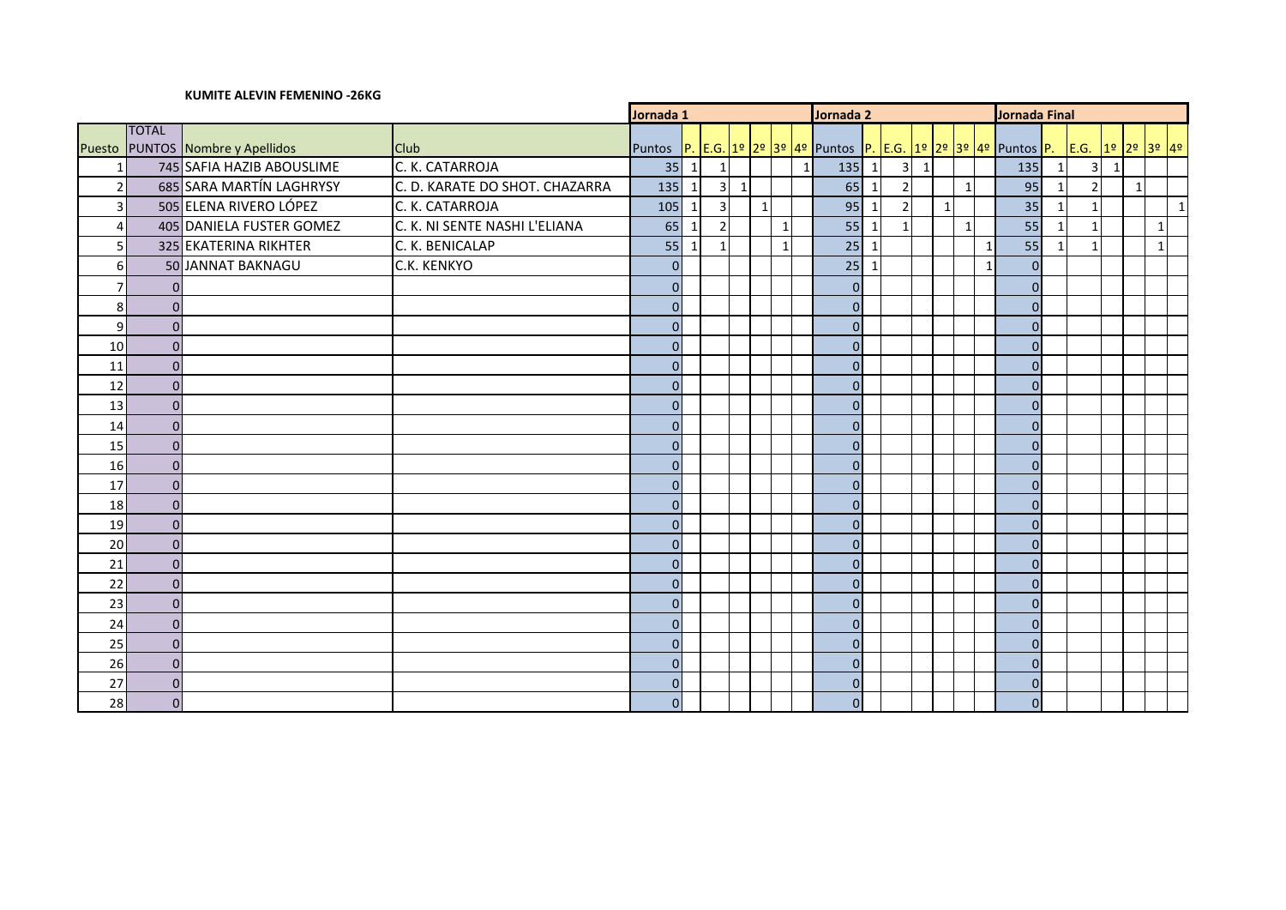### **KUMITE ALEVIN FEMENINO -26KG**

|                |                |                                  |                                | Jornada 1      |              |                         |              |              |  | Jornada 2                                                                 |              | <b>Jornada Final</b> |                 |              |                |                |              |                |              |                |           |
|----------------|----------------|----------------------------------|--------------------------------|----------------|--------------|-------------------------|--------------|--------------|--|---------------------------------------------------------------------------|--------------|----------------------|-----------------|--------------|----------------|----------------|--------------|----------------|--------------|----------------|-----------|
|                | <b>TOTAL</b>   |                                  |                                |                |              |                         |              |              |  |                                                                           |              |                      |                 |              |                |                |              |                |              |                |           |
|                |                | Puesto PUNTOS Nombre y Apellidos | <b>Club</b>                    | Puntos         |              |                         |              |              |  | P. E.G. 1º 2º 3º 4º Puntos P. E.G. 1º 2º 3º 4º Puntos P. E.G. 1º 2º 3º 4º |              |                      |                 |              |                |                |              |                |              |                |           |
|                |                | 745 SAFIA HAZIB ABOUSLIME        | C. K. CATARROJA                |                | $35$   1     | $\mathbf{1}$            |              |              |  | $135$ 1<br>1                                                              |              | 3                    | $1\overline{ }$ |              |                | 135            | $\mathbf 1$  | 3              | $\mathbf{1}$ |                |           |
| $\overline{2}$ |                | 685 SARA MARTÍN LAGHRYSY         | C. D. KARATE DO SHOT. CHAZARRA | $135$ 1        |              | $\overline{\mathbf{3}}$ | $\mathbf{1}$ |              |  | 65                                                                        | $\mathbf{1}$ | $\overline{2}$       |                 | $\mathbf{1}$ |                | 95             | $\mathbf{1}$ | $\overline{2}$ |              | $\overline{1}$ |           |
| 3              |                | 505 ELENA RIVERO LÓPEZ           | C. K. CATARROJA                | $105$ 1        |              | $\overline{3}$          |              | $\mathbf{1}$ |  | 95                                                                        | $\mathbf{1}$ | $\overline{2}$       |                 | $\mathbf{1}$ |                | 35             | $\mathbf{1}$ |                |              |                | $\vert$ 1 |
| $\Delta$       |                | 405 DANIELA FUSTER GOMEZ         | C. K. NI SENTE NASHI L'ELIANA  | 65             | $\mathbf{1}$ | $\overline{2}$          |              |              |  | 55                                                                        | 1            |                      |                 | $\mathbf{1}$ |                | 55             | $\mathbf{1}$ |                |              |                |           |
| 5              |                | 325 EKATERINA RIKHTER            | C. K. BENICALAP                |                | $55$ 1       | $\overline{1}$          |              |              |  | $25$   1                                                                  |              |                      |                 |              | $\overline{1}$ | 55             | $\mathbf{1}$ |                |              |                | 1         |
| 6              |                | 50 JANNAT BAKNAGU                | C.K. KENKYO                    | 0              |              |                         |              |              |  | $25$   1                                                                  |              |                      |                 |              | $\mathbf{1}$   | $\overline{0}$ |              |                |              |                |           |
|                |                |                                  |                                | 0              |              |                         |              |              |  | $\Omega$                                                                  |              |                      |                 |              |                | 0              |              |                |              |                |           |
| 8              | $\Omega$       |                                  |                                | $\overline{0}$ |              |                         |              |              |  | $\overline{0}$                                                            |              |                      |                 |              |                | $\overline{0}$ |              |                |              |                |           |
| 9              |                |                                  |                                | $\overline{0}$ |              |                         |              |              |  | $\overline{0}$                                                            |              |                      |                 |              |                | 0              |              |                |              |                |           |
| 10             | $\Omega$       |                                  |                                | $\overline{0}$ |              |                         |              |              |  | $\overline{0}$                                                            |              |                      |                 |              |                | 0              |              |                |              |                |           |
| 11             | $\Omega$       |                                  |                                | 0              |              |                         |              |              |  | $\overline{0}$                                                            |              |                      |                 |              |                | 0              |              |                |              |                |           |
| 12             | $\Omega$       |                                  |                                | 0              |              |                         |              |              |  | $\Omega$                                                                  |              |                      |                 |              |                | $\Omega$       |              |                |              |                |           |
| 13             | $\Omega$       |                                  |                                | $\Omega$       |              |                         |              |              |  | 0                                                                         |              |                      |                 |              |                | $\Omega$       |              |                |              |                |           |
| 14             | $\Omega$       |                                  |                                | $\overline{0}$ |              |                         |              |              |  | 0                                                                         |              |                      |                 |              |                | $\Omega$       |              |                |              |                |           |
| 15             | $\Omega$       |                                  |                                | 0              |              |                         |              |              |  | $\overline{0}$                                                            |              |                      |                 |              |                | $\Omega$       |              |                |              |                |           |
| 16             | $\Omega$       |                                  |                                | 0              |              |                         |              |              |  | $\overline{0}$                                                            |              |                      |                 |              |                | $\Omega$       |              |                |              |                |           |
| 17             | $\Omega$       |                                  |                                | $\overline{0}$ |              |                         |              |              |  | $\overline{0}$                                                            |              |                      |                 |              |                | $\overline{0}$ |              |                |              |                |           |
| 18             | $\Omega$       |                                  |                                | $\overline{0}$ |              |                         |              |              |  | $\overline{0}$                                                            |              |                      |                 |              |                | 0              |              |                |              |                |           |
| 19             | $\Omega$       |                                  |                                | $\overline{0}$ |              |                         |              |              |  | $\overline{0}$                                                            |              |                      |                 |              |                | 0              |              |                |              |                |           |
| 20             |                |                                  |                                | $\overline{0}$ |              |                         |              |              |  | $\overline{0}$                                                            |              |                      |                 |              |                | 0              |              |                |              |                |           |
| 21             | $\Omega$       |                                  |                                | 0              |              |                         |              |              |  | $\Omega$                                                                  |              |                      |                 |              |                | $\Omega$       |              |                |              |                |           |
| 22             | $\Omega$       |                                  |                                | $\Omega$       |              |                         |              |              |  | 0                                                                         |              |                      |                 |              |                | $\Omega$       |              |                |              |                |           |
| 23             | $\Omega$       |                                  |                                | $\overline{0}$ |              |                         |              |              |  | 0                                                                         |              |                      |                 |              |                | $\Omega$       |              |                |              |                |           |
| 24             | $\Omega$       |                                  |                                | $\overline{0}$ |              |                         |              |              |  | $\overline{0}$                                                            |              |                      |                 |              |                | $\Omega$       |              |                |              |                |           |
| 25             | $\Omega$       |                                  |                                | 0              |              |                         |              |              |  | 0                                                                         |              |                      |                 |              |                | $\Omega$       |              |                |              |                |           |
| 26             | $\Omega$       |                                  |                                | $\overline{0}$ |              |                         |              |              |  | $\overline{0}$                                                            |              |                      |                 |              |                | $\overline{0}$ |              |                |              |                |           |
| 27             |                |                                  |                                | $\overline{0}$ |              |                         |              |              |  | $\overline{0}$                                                            |              |                      |                 |              |                | 0              |              |                |              |                |           |
| 28             | $\overline{0}$ |                                  |                                | $\overline{0}$ |              |                         |              |              |  | $\overline{0}$                                                            |              |                      |                 |              |                | $\overline{0}$ |              |                |              |                |           |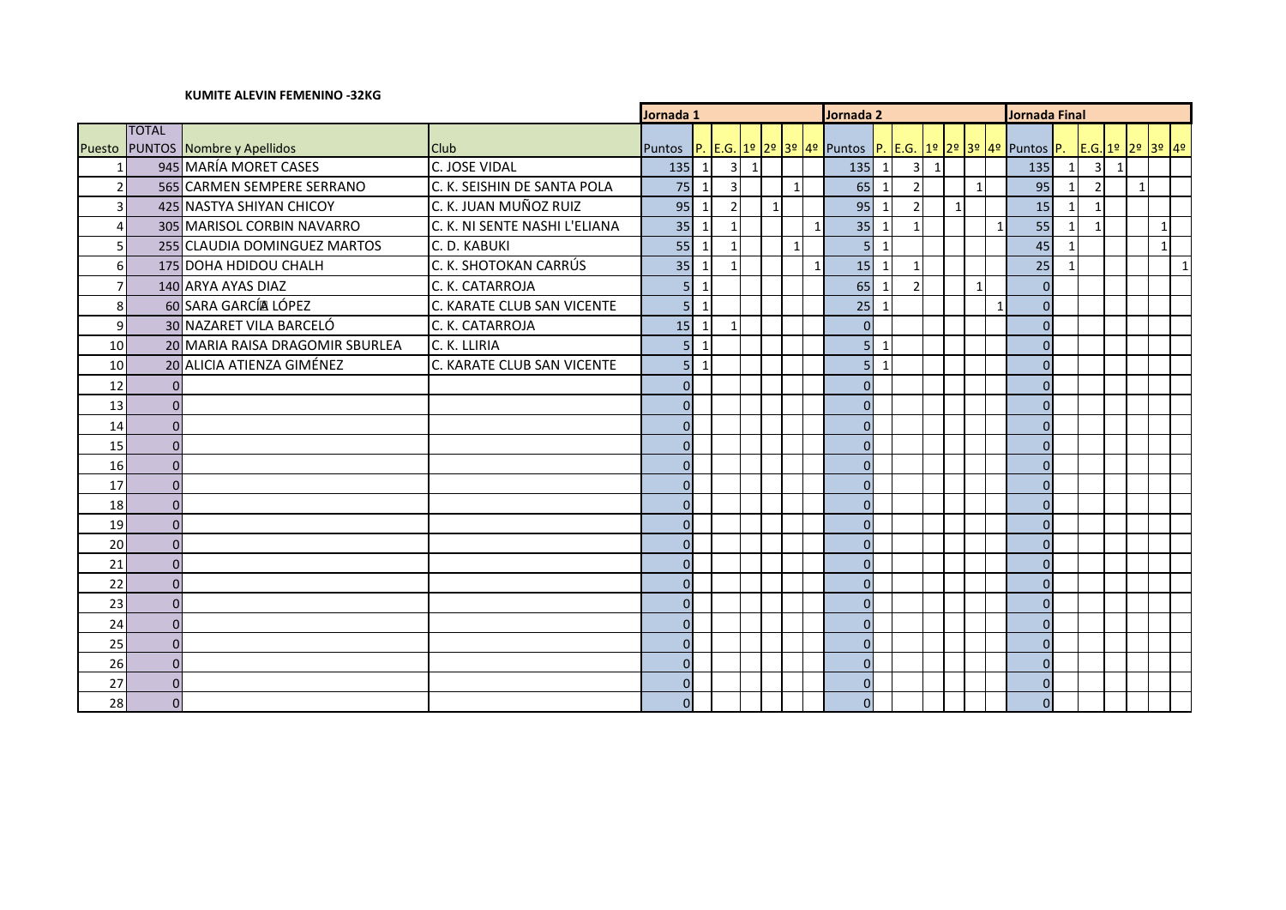### **KUMITE ALEVIN FEMENINO -32KG**

|                  |              |                                  |                               | Jornada 1      |                |                          |                |           |                         | Jornada 2 |                                                          |                         |                |           | Jornada Final |              |              |                |              |                |              |              |                  |
|------------------|--------------|----------------------------------|-------------------------------|----------------|----------------|--------------------------|----------------|-----------|-------------------------|-----------|----------------------------------------------------------|-------------------------|----------------|-----------|---------------|--------------|--------------|----------------|--------------|----------------|--------------|--------------|------------------|
|                  | <b>TOTAL</b> |                                  |                               |                |                |                          |                |           |                         |           |                                                          |                         |                |           |               |              |              |                |              |                |              |              |                  |
| Puesto           |              | <b>PUNTOS</b> Nombre y Apellidos | <b>Club</b>                   | <b>Puntos</b>  |                |                          |                |           |                         |           | P. E.G. 1º 2º 3º 4º Puntos P. E.G. 1º 2º 3º 4º Puntos P. |                         |                |           |               |              |              |                |              |                |              |              | E.G. 1º 2º 3º 4º |
|                  |              | 945 MARÍA MORET CASES            | C. JOSE VIDAL                 | $135$ 1        |                | $\overline{\mathbf{3}}$  | $\overline{1}$ |           |                         |           | $135 \mid 1$                                             |                         | 3 <sup>1</sup> | $\vert$ 1 |               |              |              | 135            | $\mathbf{1}$ | $\overline{3}$ | $\mathbf{1}$ |              |                  |
|                  |              | 565 CARMEN SEMPERE SERRANO       | C. K. SEISHIN DE SANTA POLA   | 75             | $\mathbf{1}$   | $\overline{3}$           |                |           | $\overline{\mathbf{1}}$ |           | 65                                                       | $\overline{\mathbf{1}}$ |                |           |               | $\mathbf{1}$ |              | 95             |              | $\overline{2}$ |              | $\mathbf{1}$ |                  |
| 3                |              | 425 NASTYA SHIYAN CHICOY         | C. K. JUAN MUÑOZ RUIZ         | 95             | $\overline{1}$ | $\overline{\phantom{a}}$ |                | $\vert$ 1 |                         |           | 95                                                       | $\overline{1}$          |                |           | $\mathbf{1}$  |              |              | 15             |              |                |              |              |                  |
| $\Delta$         |              | 305 MARISOL CORBIN NAVARRO       | C. K. NI SENTE NASHI L'ELIANA | 35             | - 1            |                          |                |           |                         |           | 35                                                       | $\mathbf{1}$            |                |           |               |              | $\mathbf{1}$ | 55             |              |                |              |              | $\mathbf 1$      |
| $\overline{5}$   |              | 255 CLAUDIA DOMINGUEZ MARTOS     | C. D. KABUKI                  | 55             | $\mathbf{1}$   |                          |                |           | $\mathbf{1}$            |           | 5 <sup>1</sup>                                           | $\mathbf{1}$            |                |           |               |              |              | 45             |              |                |              |              | $\mathbf{1}$     |
| $6 \overline{6}$ |              | 175 DOHA HDIDOU CHALH            | C. K. SHOTOKAN CARRÚS         | $35$   1       |                |                          |                |           |                         |           | 15                                                       | $\mathbf{1}$            |                |           |               |              |              | 25             |              |                |              |              | $\mathbf{1}$     |
|                  |              | 140 ARYA AYAS DIAZ               | C. K. CATARROJA               | 5 <sup>1</sup> | $\mathbf{1}$   |                          |                |           |                         |           | 65                                                       | $\overline{\mathbf{1}}$ |                |           |               | $\mathbf{1}$ |              | $\overline{0}$ |              |                |              |              |                  |
| 8                |              | 60 SARA GARCÍA LÓPEZ             | C. KARATE CLUB SAN VICENTE    |                | 5 1            |                          |                |           |                         |           | 25                                                       | $\mathbf{1}$            |                |           |               |              | $\mathbf{1}$ | $\Omega$       |              |                |              |              |                  |
| $\overline{9}$   |              | 30 NAZARET VILA BARCELÓ          | C. K. CATARROJA               | $15$   1       |                |                          |                |           |                         |           | $\overline{0}$                                           |                         |                |           |               |              |              | $\Omega$       |              |                |              |              |                  |
| 10               |              | 20 MARIA RAISA DRAGOMIR SBURLEA  | C. K. LLIRIA                  | 5 <sup>1</sup> | $\mathbf{1}$   |                          |                |           |                         |           | 5 <sup>1</sup>                                           | $\mathbf{1}$            |                |           |               |              |              | $\Omega$       |              |                |              |              |                  |
| 10               |              | 20 ALICIA ATIENZA GIMÉNEZ        | C. KARATE CLUB SAN VICENTE    | 5 <sup>1</sup> | $\mathbf{1}$   |                          |                |           |                         |           | 5 <sup>1</sup>                                           | $\mathbf{1}$            |                |           |               |              |              | $\overline{0}$ |              |                |              |              |                  |
| 12               |              |                                  |                               | $\overline{0}$ |                |                          |                |           |                         |           | $\Omega$                                                 |                         |                |           |               |              |              | $\Omega$       |              |                |              |              |                  |
| 13               | $\Omega$     |                                  |                               | $\overline{0}$ |                |                          |                |           |                         |           | $\Omega$                                                 |                         |                |           |               |              |              | $\Omega$       |              |                |              |              |                  |
| 14               | $\Omega$     |                                  |                               | $\Omega$       |                |                          |                |           |                         |           | $\Omega$                                                 |                         |                |           |               |              |              | $\Omega$       |              |                |              |              |                  |
| 15               | $\Omega$     |                                  |                               | $\overline{O}$ |                |                          |                |           |                         |           | $\Omega$                                                 |                         |                |           |               |              |              | $\Omega$       |              |                |              |              |                  |
| 16               | $\Omega$     |                                  |                               | $\overline{O}$ |                |                          |                |           |                         |           | $\Omega$                                                 |                         |                |           |               |              |              | $\Omega$       |              |                |              |              |                  |
| 17               | $\Omega$     |                                  |                               | $\overline{0}$ |                |                          |                |           |                         |           | $\Omega$                                                 |                         |                |           |               |              |              | $\Omega$       |              |                |              |              |                  |
| 18               | $\Omega$     |                                  |                               | $\Omega$       |                |                          |                |           |                         |           | $\Omega$                                                 |                         |                |           |               |              |              | $\Omega$       |              |                |              |              |                  |
| 19               |              |                                  |                               | $\Omega$       |                |                          |                |           |                         |           | $\Omega$                                                 |                         |                |           |               |              |              | $\Omega$       |              |                |              |              |                  |
| 20               | $\Omega$     |                                  |                               | $\overline{0}$ |                |                          |                |           |                         |           | $\Omega$                                                 |                         |                |           |               |              |              | $\Omega$       |              |                |              |              |                  |
| 21               | $\Omega$     |                                  |                               | $\overline{0}$ |                |                          |                |           |                         |           | $\Omega$                                                 |                         |                |           |               |              |              | $\Omega$       |              |                |              |              |                  |
| 22               | $\Omega$     |                                  |                               | $\overline{0}$ |                |                          |                |           |                         |           | $\Omega$                                                 |                         |                |           |               |              |              | $\Omega$       |              |                |              |              |                  |
| 23               | $\Omega$     |                                  |                               | $\Omega$       |                |                          |                |           |                         |           | $\Omega$                                                 |                         |                |           |               |              |              | $\Omega$       |              |                |              |              |                  |
| 24               | $\Omega$     |                                  |                               | $\overline{0}$ |                |                          |                |           |                         |           | $\overline{0}$                                           |                         |                |           |               |              |              | $\Omega$       |              |                |              |              |                  |
| 25               | $\Omega$     |                                  |                               | $\overline{0}$ |                |                          |                |           |                         |           | $\Omega$                                                 |                         |                |           |               |              |              | $\Omega$       |              |                |              |              |                  |
| 26               | $\Omega$     |                                  |                               | $\overline{O}$ |                |                          |                |           |                         |           | $\overline{0}$                                           |                         |                |           |               |              |              | $\Omega$       |              |                |              |              |                  |
| 27               | $\Omega$     |                                  |                               | $\Omega$       |                |                          |                |           |                         |           | $\Omega$                                                 |                         |                |           |               |              |              | $\Omega$       |              |                |              |              |                  |
| 28               |              |                                  |                               | $\overline{0}$ |                |                          |                |           |                         |           | $\overline{0}$                                           |                         |                |           |               |              |              | $\Omega$       |              |                |              |              |                  |